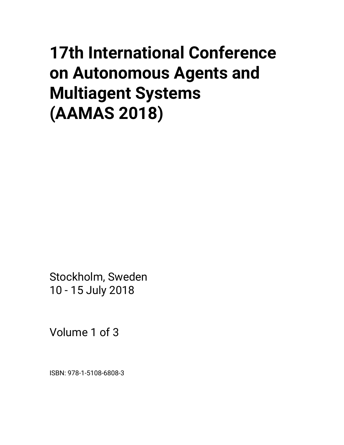# **17th International Conference on Autonomous Agents and Multiagent Systems (AAMAS 2018)**

Stockholm, Sweden 10 - 15 July 2018

Volume 1 of 3

ISBN: 978-1-5108-6808-3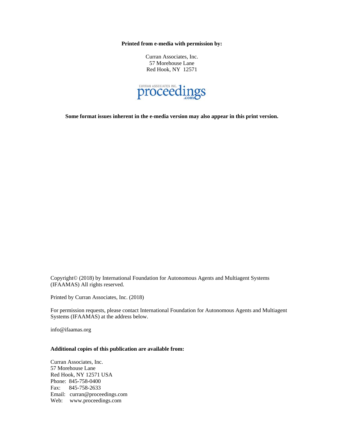**Printed from e-media with permission by:** 

Curran Associates, Inc. 57 Morehouse Lane Red Hook, NY 12571



**Some format issues inherent in the e-media version may also appear in this print version.** 

Copyright© (2018) by International Foundation for Autonomous Agents and Multiagent Systems (IFAAMAS) All rights reserved.

Printed by Curran Associates, Inc. (2018)

For permission requests, please contact International Foundation for Autonomous Agents and Multiagent Systems (IFAAMAS) at the address below.

info@ifaamas.org

#### **Additional copies of this publication are available from:**

Curran Associates, Inc. 57 Morehouse Lane Red Hook, NY 12571 USA Phone: 845-758-0400 Fax: 845-758-2633 Email: curran@proceedings.com Web: www.proceedings.com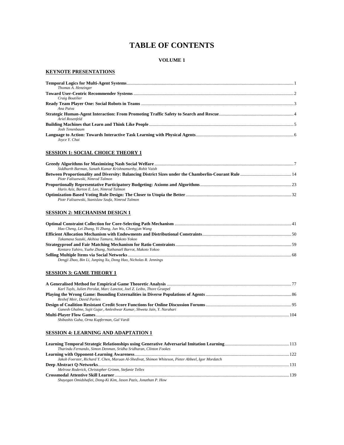# **TABLE OF CONTENTS**

#### **VOLUME 1**

#### **KEYNOTE PRESENTATIONS**

| Thomas A. Henzinger |  |
|---------------------|--|
|                     |  |
| Craig Boutilier     |  |
|                     |  |
| Ana Paiva           |  |
| Ariel Rosenfeld     |  |
|                     |  |
| Josh Tenenbaum      |  |
| Joyce Y. Chai       |  |

#### **SESSION 1: SOCIAL CHOICE THEORY 1**

| Siddharth Barman, Sanath Kumar Krishnamurthy, Rohit Vaish |  |
|-----------------------------------------------------------|--|
|                                                           |  |
| Piotr Faliszewski, Nimrod Talmon                          |  |
|                                                           |  |
| Haris Aziz, Barton E. Lee, Nimrod Talmon                  |  |
|                                                           |  |
| Piotr Faliszewski, Stanislaw Szufa, Nimrod Talmon         |  |

#### **SESSION 2: MECHANISM DESIGN 1**

| Hao Cheng, Lei Zhang, Yi Zhang, Jun Wu, Chongjun Wang           |  |
|-----------------------------------------------------------------|--|
|                                                                 |  |
| Takamasa Suzuki, Akihisa Tamura, Makoto Yokoo                   |  |
|                                                                 |  |
| Kentaro Yahiro, Yuzhe Zhang, Nathanaël Barrot, Makoto Yokoo     |  |
|                                                                 |  |
| Dengji Zhao, Bin Li, Junping Xu, Dong Hao, Nicholas R. Jennings |  |
|                                                                 |  |

#### **SESSION 3: GAME THEORY 1**

| Karl Tuyls, Julien Perolat, Marc Lanctot, Joel Z. Leibo, Thore Graepel |  |
|------------------------------------------------------------------------|--|
|                                                                        |  |
| Reshef Meir, David Parkes                                              |  |
|                                                                        |  |
| Ganesh Ghalme, Sujit Gujar, Amleshwar Kumar, Shweta Jain, Y. Narahari  |  |
|                                                                        |  |
| Shibashis Guha, Orna Kupferman, Gal Vardi                              |  |

#### **SESSION 4: LEARNING AND ADAPTATION 1**

| Tharindu Fernando, Simon Denman, Sridha Sridharan, Clinton Fookes                                  |  |
|----------------------------------------------------------------------------------------------------|--|
|                                                                                                    |  |
| Jakob Foerster, Richard Y. Chen, Maruan Al-Shedivat, Shimon Whiteson, Pieter Abbeel, Igor Mordatch |  |
|                                                                                                    |  |
| Melrose Roderick, Christopher Grimm, Stefanie Tellex                                               |  |
|                                                                                                    |  |
| Shayegan Omidshafiei, Dong-Ki Kim, Jason Pazis, Jonathan P. How                                    |  |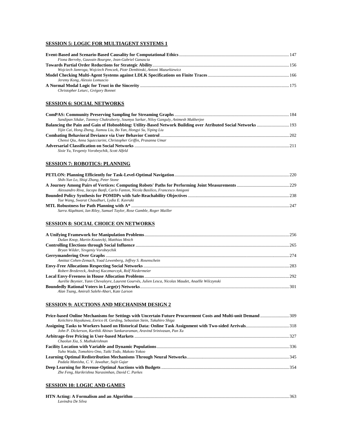#### **SESSION 5: LOGIC FOR MULTIAGENT SYSTEMS 1**

| Fiona Berreby, Gauvain Bourgne, Jean-Gabriel Ganascia                    |  |
|--------------------------------------------------------------------------|--|
|                                                                          |  |
| Wojciech Jamroga, Wojciech Penczek, Piotr Dembinski, Antoni Mazurkiewicz |  |
|                                                                          |  |
|                                                                          |  |
| Jeremy Kong, Alessio Lomuscio                                            |  |

#### **SESSION 6: SOCIAL NETWORKS**

| Sandipan Sikdar, Tanmoy Chakraborty, Soumya Sarkar, Niloy Ganguly, Animesh Mukherjee                          |  |
|---------------------------------------------------------------------------------------------------------------|--|
| Balancing the Pain and Gain of Hobnobbing: Utility-Based Network Building over Atributed Social Networks  193 |  |
| Yijin Cai, Hong Zheng, Jiamou Liu, Bo Yan, Hongyi Su, Yiping Liu                                              |  |
|                                                                                                               |  |
| Chenxi Qiu, Anna Squicciarini, Christopher Griffin, Prasanna Umar                                             |  |
| Sixie Yu, Yevgeniy Vorobeychik, Scott Alfeld                                                                  |  |

#### **SESSION 7: ROBOTICS: PLANNING**

| Shih-Yun Lo, Shigi Zhang, Peter Stone                                           |      |
|---------------------------------------------------------------------------------|------|
|                                                                                 |      |
| Alessandro Riva, Jacopo Banfi, Carlo Fanton, Nicola Basilico, Francesco Amigoni |      |
|                                                                                 |      |
| Yue Wang, Swarat Chaudhuri, Lydia E. Kavraki                                    |      |
|                                                                                 | -247 |
| Sarra Algahtani, Ian Riley, Samuel Taylor, Rose Gamble, Roger Mailler           |      |

#### **SESSION 8: SOCIAL CHOICE ON NETWORKS**

| Dušan Knop, Martin Koutecký, Matthias Mnich                                                         |  |
|-----------------------------------------------------------------------------------------------------|--|
|                                                                                                     |  |
| Bryan Wilder, Yevgeniy Vorobeychik                                                                  |  |
|                                                                                                     |  |
| Amittai Cohen-Zemach, Yoad Lewenberg, Jeffrey S. Rosenschein                                        |  |
|                                                                                                     |  |
| Robert Bredereck, Andrzej Kaczmarczyk, Rolf Niedermeier                                             |  |
|                                                                                                     |  |
| Aurélie Beynier, Yann Chevaleyre, Laurent Gourvès, Julien Lesca, Nicolas Maudet, Anaëlle Wilczynski |  |
|                                                                                                     |  |
| Alan Tsang, Amirali Salehi-Abari, Kate Larson                                                       |  |

#### **SESSION 9: AUCTIONS AND MECHANISM DESIGN 2**

| Keiichiro Hayakawa, Enrico H. Gerding, Sebastian Stein, Takahiro Shiga     |  |
|----------------------------------------------------------------------------|--|
|                                                                            |  |
| John P. Dickerson, Karthik Abinav Sankararaman, Aravind Srinivasan, Pan Xu |  |
|                                                                            |  |
| Chaolun Xia, S. Muthukrishnan                                              |  |
|                                                                            |  |
| Yuho Wada, Tomohiro Ono, Taiki Todo, Makoto Yokoo                          |  |
|                                                                            |  |
| Padala Manisha, C. V. Jawahar, Sujit Gujar                                 |  |
|                                                                            |  |
| Zhe Feng, Harikrishna Narasimhan, David C. Parkes                          |  |

#### **SESSION 10: LOGIC AND GAMES**

| Lavindra De Silva |  |
|-------------------|--|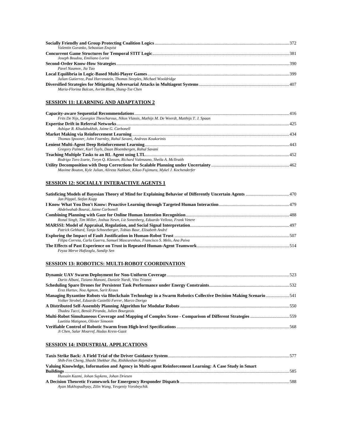| Valentin Goranko, Sebastian Enqvist                                     |  |
|-------------------------------------------------------------------------|--|
|                                                                         |  |
| Joseph Boudou, Emiliano Lorini                                          |  |
|                                                                         |  |
| Pavel Naumov, Jia Tao                                                   |  |
|                                                                         |  |
| Julian Gutierrez, Paul Harrenstein, Thomas Steeples, Michael Wooldridge |  |
| Maria-Florina Balcan, Avrim Blum, Shang-Tse Chen                        |  |

#### **SESSION 11: LEARNING AND ADAPTATION 2**

| Frits De Nijs, Georgios Theocharous, Nikos Vlassis, Mathijs M. De Weerdt, Matthijs T. J. Spaan |  |
|------------------------------------------------------------------------------------------------|--|
|                                                                                                |  |
| Ashigur R. Khudabukhsh, Jaime G. Carbonell                                                     |  |
|                                                                                                |  |
| Thomas Spooner, John Fearnley, Rahul Savani, Andreas Koukorinis                                |  |
|                                                                                                |  |
| Gregory Palmer, Karl Tuyls, Daan Bloembergen, Rahul Savani                                     |  |
|                                                                                                |  |
| Rodrigo Toro Icarte, Toryn O. Klassen, Richard Valenzano, Sheila A. McIlraith                  |  |
| Maxime Bouton, Kyle Julian, Alireza Nakhaei, Kikuo Fujimura, Mykel J. Kochenderfer             |  |

#### **SESSION 12: SOCIALLY INTERACTIVE AGENTS 1**

| Jan Pöppel, Stefan Kopp                                                            |  |
|------------------------------------------------------------------------------------|--|
|                                                                                    |  |
| Abdelwahab Bourai, Jaime Carbonell                                                 |  |
|                                                                                    |  |
| Ronal Singh, Tim Miller, Joshua Newn, Liz Sonenberg, Eduardo Velloso, Frank Vetere |  |
| Patrick Gebhard, Tanja Schneeberger, Tobias Baur, Elisabeth André                  |  |
|                                                                                    |  |
| Filipa Correia, Carla Guerra, Samuel Mascarenhas, Francisco S. Melo, Ana Paiva     |  |
| Feyza Merve Hafizoglu, Sandip Sen                                                  |  |

# **SESSION 13: ROBOTICS: MULTI-ROBOT COORDINATION**

| Dario Albani, Tiziano Manoni, Daniele Nardi, Vito Trianni                                                      |  |
|----------------------------------------------------------------------------------------------------------------|--|
|                                                                                                                |  |
| Erez Hartuv, Noa Agmon, Sarit Kraus                                                                            |  |
| Managing Byzantine Robots via Blockchain Technology in a Swarm Robotics Collective Decision Making Scenario541 |  |
| Volker Strobel, Eduardo Castelló Ferrer, Marco Dorigo                                                          |  |
|                                                                                                                |  |
| Thadeu Tucci, Benoît Piranda, Julien Bourgeois                                                                 |  |
| Multi-Robot Simultaneous Coverage and Mapping of Complex Scene - Comparison of Different Strategies 559        |  |
| Laetitia Matignon, Olivier Simonin                                                                             |  |
|                                                                                                                |  |
| Ji Chen, Salar Moarref, Hadas Kress-Gazit                                                                      |  |

#### **SESSION 14: INDUSTRIAL APPLICATIONS**

| Shih-Fen Cheng, Shashi Shekhar Jha, Rishikeshan Rajendram                                              |     |
|--------------------------------------------------------------------------------------------------------|-----|
| Valuing Knowledge, Information and Agency in Multi-agent Reinforcement Learning: A Case Study in Smart |     |
|                                                                                                        | 585 |
| Hussain Kazmi, Johan Suykens, Johan Driesen                                                            |     |
| Ayan Mukhopadhyay, Zilin Wang, Yevgeniy Vorobeychik                                                    |     |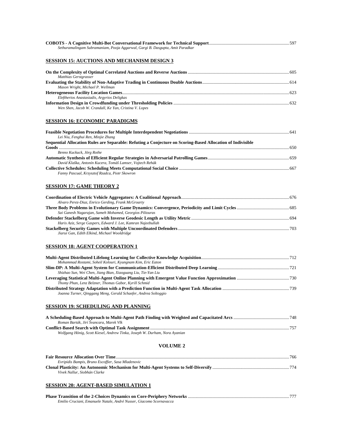| Sethuramalingam Subramaniam, Pooja Aggarwal, Gargi B. Dasgupta, Amit Paradkar                                            |  |
|--------------------------------------------------------------------------------------------------------------------------|--|
|                                                                                                                          |  |
| <b>SESSION 15: AUCTIONS AND MECHANISM DESIGN 3</b>                                                                       |  |
| Matthias Gerstgrasser                                                                                                    |  |
| Mason Wright, Michael P. Wellman                                                                                         |  |
| Eleftherios Anastasiadis, Argyrios Deligkas                                                                              |  |
| Wen Shen, Jacob W. Crandall, Ke Yan, Cristina V. Lopes                                                                   |  |
| <b>SESSION 16: ECONOMIC PARADIGMS</b>                                                                                    |  |
| Lei Niu, Fenghui Ren, Minjie Zhang                                                                                       |  |
| Sequential Allocation Rules are Separable: Refuting a Conjecture on Scoring-Based Allocation of Indivisible              |  |
| Benno Kuckuck, Jörg Rothe                                                                                                |  |
| David Klaška, Antonín Kucera, Tomáš Lamser, Vojtech Rehák                                                                |  |
| Fanny Pascual, Krzysztof Rzadca, Piotr Skowron                                                                           |  |
| <b>SESSION 17: GAME THEORY 2</b>                                                                                         |  |
| Alvaro Perez-Diaz, Enrico Gerding, Frank McGroarty                                                                       |  |
| Sai Ganesh Nagarajan, Sameh Mohamed, Georgios Piliouras                                                                  |  |
| Haris Aziz, Serge Gaspers, Edward J. Lee, Kamran Najeebullah                                                             |  |
| Jiarui Gan, Edith Elkind, Michael Wooldridge                                                                             |  |
| <b>SESSION 18: AGENT COOPERATION 1</b>                                                                                   |  |
| Mohammad Rostami, Soheil Kolouri, Kyungnam Kim, Eric Eaton                                                               |  |
|                                                                                                                          |  |
| Shizhao Sun, Wei Chen, Jiang Bian, Xiaoguang Liu, Tie-Yan Liu                                                            |  |
| Thomy Phan, Lenz Belzner, Thomas Gabor, Kyrill Schmid<br>Joanna Turner, Qinggang Meng, Gerald Schaefer, Andrea Soltoggio |  |
| <b>SESSION 19: SCHEDULING AND PLANNING</b>                                                                               |  |
|                                                                                                                          |  |
| Roman Barták, Jirí Švancara, Marek Vlk<br>Wolfgang Hönig, Scott Kiesel, Andrew Tinka, Joseph W. Durham, Nora Ayanian     |  |
| <b>VOLUME 2</b>                                                                                                          |  |
|                                                                                                                          |  |
| Evripidis Bampis, Bruno Escoffier, Sasa Mladenovic                                                                       |  |
| Vivek Nallur, Siobhán Clarke                                                                                             |  |
| <b>SESSION 20: AGENT-BASED SIMULATION 1</b>                                                                              |  |

| Emilio Cruciani, Emanuele Natale, André Nusser, Giacomo Scornavacca |  |
|---------------------------------------------------------------------|--|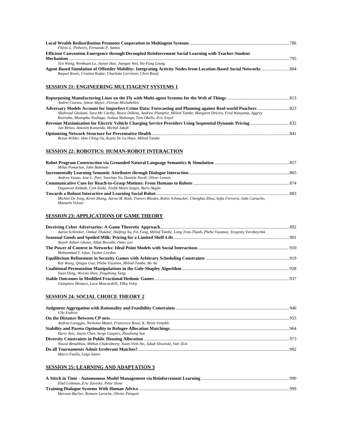| Flávio L. Pinheiro. Fernando P. Santos                                                              |  |
|-----------------------------------------------------------------------------------------------------|--|
| Efficient Convention Emergence through Decoupled Reinforcement Social Learning with Teacher-Student |  |
| 795                                                                                                 |  |
| Yixi Wang, Wenhuan Lu, Jianye Hao, Jianguo Wei, Ho-Fung Leung                                       |  |
| Raquel Rosés, Cristina Kadar, Charlotte Gerritsen, Chris Rouly                                      |  |

#### **SESSION 21: ENGINEERING MULTIAGENT SYSTEMS 1**

| Andrei Ciortea, Simon Mayer, Florian Michahelles                                                                        |  |
|-------------------------------------------------------------------------------------------------------------------------|--|
|                                                                                                                         |  |
| Shahrzad Gholami, Sara Mc Carthy, Bistra Dilkina, Andrew Plumptre, Milind Tambe, Margaret Driciru, Fred Wanyama, Aggrey |  |
| Rwetsiba, Mustapha Nsubaga, Joshua Mabonga, Tom Okello, Eric Enyel                                                      |  |
|                                                                                                                         |  |
| Jan Mrkos, Antonín Komenda, Michal Jakob                                                                                |  |
|                                                                                                                         |  |
| Bryan Wilder, Han Ching Ou, Kayla De La Haye, Milind Tambe                                                              |  |

#### **SESSION 22: ROBOTICS: HUMAN-ROBOT INTERACTION**

| Mihai Pomarlan, John Bateman                                                                                                |  |
|-----------------------------------------------------------------------------------------------------------------------------|--|
|                                                                                                                             |  |
| Andrea Vanzo, Jose L. Part. Yanchao Yu, Daniele Nardi, Oliver Lemon                                                         |  |
|                                                                                                                             |  |
| Dogancan Kebüde, Cem Eteke, Tevfik Metin Sezgin, Baris Akgün                                                                |  |
|                                                                                                                             |  |
| Michiel De Jong, Kevin Zhang, Aaron M. Roth, Travers Rhodes, Robin Schmucker, Chenghui Zhou, Sofia Ferreira, João Cartucho, |  |
| Manuela Veloso                                                                                                              |  |

#### **SESSION 23: APPLICATIONS OF GAME THEORY**

| Aaron Schlenker, Omkar Thakoor, Haifeng Xu, Fei Fang, Milind Tambe, Long Tran-Thanh, Phebe Vayanos, Yevgeniy Vorobeychik |  |
|--------------------------------------------------------------------------------------------------------------------------|--|
|                                                                                                                          |  |
| Atiyeh Ashari Ghomi, Allan Borodin, Omer Lev                                                                             |  |
|                                                                                                                          |  |
| Mohammad T. Irfan, Tucker Gordon                                                                                         |  |
|                                                                                                                          |  |
| Kai Wang, Oingyu Guo, Phebe Vayanos, Milind Tambe, Bo An                                                                 |  |
|                                                                                                                          |  |
| Yuan Deng, Weiran Shen, Pingzhong Tang                                                                                   |  |
|                                                                                                                          |  |
| Gianpiero Monaco, Luca Moscardelli, Yllka Velaj                                                                          |  |

#### **SESSION 24: SOCIAL CHOICE THEORY 2**

| <b>IIlle Endriss</b>                                                         |  |
|------------------------------------------------------------------------------|--|
|                                                                              |  |
| Andrea Loreggia, Nicholas Mattei, Francesca Rossi, K. Brent Venable          |  |
|                                                                              |  |
| Haris Aziz, Jiayin Chen, Serge Gaspers, Zhaohong Sun                         |  |
|                                                                              |  |
| Nawal Benabbou, Mithun Chakraborty, Xuan-Vinh Ho, Jakub Sliwinski, Yair Zick |  |
|                                                                              |  |
| Marco Faella, Luigi Sauro                                                    |  |

#### **SESSION 25: LEARNING AND ADAPTATION 3**

| Elad Liebman, Eric Zavesky, Peter Stone          |      |
|--------------------------------------------------|------|
|                                                  | -999 |
| Merwan Barlier, Romain Laroche, Olivier Pietquin |      |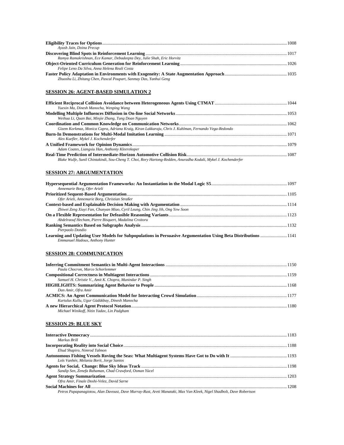| Avush Jain, Doina Precup                                                |  |
|-------------------------------------------------------------------------|--|
|                                                                         |  |
| Ramya Ramakrishnan, Ece Kamar, Debadeepta Dey, Julie Shah, Eric Horvitz |  |
|                                                                         |  |
| Felipe Leno Da Silva, Anna Helena Reali Costa                           |  |
| Zhuoshu Li, Zhitang Chen, Pascal Poupart, Sanmay Das, Yanhui Geng       |  |

#### **SESSION 26: AGENT-BASED SIMULATION 2**

| Yuexin Ma, Dinesh Manocha, Wenping Wang                                                                        |  |
|----------------------------------------------------------------------------------------------------------------|--|
| Weihua Li, Quan Bai, Minjie Zhang, Tung Doan Nguyen                                                            |  |
|                                                                                                                |  |
| Gizem Korkmaz, Monica Capra, Adriana Kraig, Kiran Lakkaraju, Chris J. Kuhlman, Fernando Vega-Redondo           |  |
| Alex Kuefler, Mykel J. Kochenderfer                                                                            |  |
| Adam Coates, Liangxiu Han, Anthonty Kleerekoper                                                                |  |
| Blake Wulfe, Sunil Chintakindi, Sou-Cheng T. Choi, Rory Hartong-Redden, Anuradha Kodali, Mykel J. Kochenderfer |  |

#### **SESSION 27: ARGUMENTATION**

| Annemarie Borg, Ofer Arieli                                                                                                                       |  |
|---------------------------------------------------------------------------------------------------------------------------------------------------|--|
|                                                                                                                                                   |  |
| Ofer Arieli, Annemarie Borg, Christian Straßer                                                                                                    |  |
|                                                                                                                                                   |  |
| Zhiwei Zeng Xiuyi Fan, Chunyan Miao, Cyril Leung, Chin Jing Jih, Ong Yew Soon                                                                     |  |
| Abdelraouf Hecham, Pierre Bisquert, Madalina Croitoru                                                                                             |  |
|                                                                                                                                                   |  |
| Pierpaolo Dondio                                                                                                                                  |  |
| Learning and Updating User Models for Subpopulations in Persuasive Argumentation Using Beta Distributions 1141<br>Emmanuel Hadoux, Anthony Hunter |  |

#### **SESSION 28: COMMUNICATION**

#### **SESSION 29: BLUE SKY**

| Markus Brill                                           |  |
|--------------------------------------------------------|--|
|                                                        |  |
| Ehud Shapiro, Nimrod Talmon                            |  |
|                                                        |  |
| Loïs Vanhée, Melania Borit, Jorge Santos               |  |
|                                                        |  |
| Sandip Sen, Zenefa Rahaman, Chad Crawford, Osman Yücel |  |
|                                                        |  |
| Ofra Amir, Finale Doshi-Velez, David Sarne             |  |
|                                                        |  |

*Petros Papapanagiotou, Alan Davoust, Dave Murray-Rust, Areti Manataki, Max Van Kleek, Nigel Shadbolt, Dave Robertson*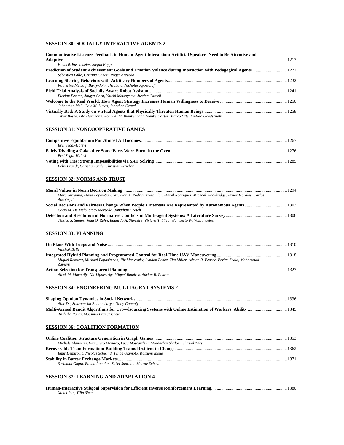#### **SESSION 30: SOCIALLY INTERACTIVE AGENTS 2**

| Communicative Listener Feedback in Human-Agent Interaction: Artificial Speakers Need to Be Attentive and |  |
|----------------------------------------------------------------------------------------------------------|--|
|                                                                                                          |  |
| Hendrik Buschmeier, Stefan Kopp                                                                          |  |
| Sébastien Lallé, Cristina Conati, Roger Azevedo                                                          |  |
|                                                                                                          |  |
| Katherine Metcalf, Barry-John Theobald, Nicholas Apostoloff                                              |  |
|                                                                                                          |  |
| Florian Pecune, Jingya Chen, Yoichi Matsuyama, Justine Cassell                                           |  |
| Johnathan Mell, Gale M. Lucas, Jonathan Gratch                                                           |  |
|                                                                                                          |  |
| Tibor Bosse, Tilo Hartmann, Romy A. M. Blankendaal, Nienke Dokter, Marco Otte, Linford Goedschalk        |  |

#### **SESSION 31: NONCOOPERATIVE GAMES**

| Erel Segal-Halevi                                 |  |
|---------------------------------------------------|--|
|                                                   |  |
| Erel Segal-Halevi                                 |  |
|                                                   |  |
| Felix Brandt, Christian Saile, Christian Stricker |  |

#### **SESSION 32: NORMS AND TRUST**

|                                                                                                                                         | 1294 |
|-----------------------------------------------------------------------------------------------------------------------------------------|------|
| Marc Serramia, Maite Lopez-Sanchez, Juan A. Rodriguez-Aguilar, Manel Rodriguez, Michael Wooldridge, Javier Morales, Carlos<br>Ansotegui |      |
|                                                                                                                                         |      |
| Celso M. De Melo, Stacy Marsella, Jonathan Gratch                                                                                       |      |
|                                                                                                                                         |      |
| Jéssica S. Santos, Jean O. Zahn, Eduardo A. Silvestre, Viviane T. Silva, Wamberto W. Vasconcelos                                        |      |

#### **SESSION 33: PLANNING**

| Vaishak Belle                                                                                                          |  |
|------------------------------------------------------------------------------------------------------------------------|--|
|                                                                                                                        |  |
| Miquel Ramirez, Michael Papasimeon, Nir Lipovetzky, Lyndon Benke, Tim Miller, Adrian R. Pearce, Enrico Scala, Mohammad |  |
| <i><b>Zamani</b></i>                                                                                                   |  |
|                                                                                                                        |  |
| Aleck M. Macnally, Nir Lipovetzky, Miquel Ramirez, Adrian R. Pearce                                                    |  |

#### **SESSION 34: ENGINEERING MULTIAGENT SYSTEMS 2**

|                                                 | 1336 |
|-------------------------------------------------|------|
| Abir De, Sourangshu Bhattacharya, Niloy Ganguly |      |
|                                                 |      |
| Anshuka Rangi, Massimo Franceschetti            |      |

#### **SESSION 36: COALITION FORMATION**

| Michele Flammini, Gianpiero Monaco, Luca Moscardelli, Mordechai Shalom, Shmuel Zaks |  |
|-------------------------------------------------------------------------------------|--|
|                                                                                     |  |
| Emir Demirovic, Nicolas Schwind, Tenda Okimoto, Katsumi Inoue                       |  |
|                                                                                     |  |
| Sushmita Gupta, Fahad Panolan, Saket Saurabh, Meirav Zehavi                         |  |

# **SESSION 37: LEARNING AND ADAPTATION 4**

| Xinlei Pan. Yilin Shen |  |
|------------------------|--|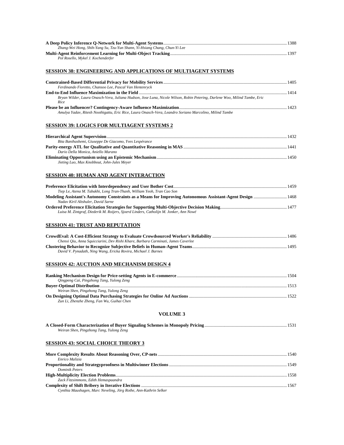| Zhang-Wei Hong, Shih-Yang Su, Tzu-Yun Shann, Yi-Hsiang Chang, Chun-Yi Lee |  |
|---------------------------------------------------------------------------|--|
|                                                                           |  |
| Pol Rosello, Mykel J. Kochenderfer                                        |  |

#### **SESSION 38: ENGINEERING AND APPLICATIONS OF MULTIAGENT SYSTEMS**

| Ferdinando Fioretto, Chansoo Lee, Pascal Van Hentenryck                                                                                                                                                                                   |      |
|-------------------------------------------------------------------------------------------------------------------------------------------------------------------------------------------------------------------------------------------|------|
| End-to-End Influence Maximization in the Field <b>multiple and the contract of the Contract of Tend</b> Influence Maximization in the Field <b>multiple and the Contract of the Contract of the Contract of the Contract of the Contr</b> | 1414 |
| Bryan Wilder, Laura Onasch-Vera, Juliana Hudson, Jose Luna, Nicole Wilson, Robin Petering, Darlene Woo, Milind Tambe, Eric<br>Rice                                                                                                        |      |
| Amulya Yadav, Ritesh Noothigattu, Eric Rice, Laura Onasch-Vera, Leandro Soriano Marcolino, Milind Tambe                                                                                                                                   |      |

#### **SESSION 39: LOGICS FOR MULTIAGENT SYSTEMS 2**

|                                                        | 1432 |
|--------------------------------------------------------|------|
| Bita Banihashemi, Giuseppe De Giacomo, Yves Lespérance |      |
|                                                        |      |
| Dario Della Monica, Aniello Murano                     |      |
|                                                        | 1450 |
| Jieting Luo, Max Knobbout, John-Jules Meyer            |      |

#### **SESSION 40: HUMAN AND AGENT INTERACTION**

| Tiep Le, Atena M. Tabakhi, Long Tran-Thanh, William Yeoh, Tran Cao Son                                     |  |
|------------------------------------------------------------------------------------------------------------|--|
| Modeling Assistant's Autonomy Constraints as a Means for Improving Autonomous Assistant-Agent Design  1468 |  |
| Nadav Kiril Altshuler, David Sarne                                                                         |  |
|                                                                                                            |  |
| Luisa M. Zintgraf, Diederik M. Roijers, Sjoerd Linders, Catholijn M. Jonker, Ann Nowé                      |  |

#### **SESSION 41: TRUST AND REPUTATION**

| Chenxi Qiu, Anna Squicciarini, Dev Rishi Khare, Barbara Carminati, James Caverlee |  |
|-----------------------------------------------------------------------------------|--|
|                                                                                   |  |
| David V. Pynadath, Ning Wang, Ericka Rovira, Michael J. Barnes                    |  |

#### **SESSION 42: AUCTION AND MECHANISM DESIGN 4**

| Oingpeng Cai, Pingzhong Tang, Yulong Zeng  |  |
|--------------------------------------------|--|
|                                            |  |
| Weiran Shen, Pingzhong Tang, Yulong Zeng   |  |
|                                            |  |
| Zun Li, Zhenzhe Zheng, Fan Wu, Guihai Chen |  |

#### **VOLUME 3**

| Weiran Shen, Pingzhong Tang, Yulong Zeng |  |
|------------------------------------------|--|

#### **SESSION 43: SOCIAL CHOICE THEORY 3**

| Enrico Malizia                                                   |  |
|------------------------------------------------------------------|--|
|                                                                  |  |
| Dominik Peters                                                   |  |
|                                                                  |  |
| Zack Fitzsimmons, Edith Hemaspaandra                             |  |
|                                                                  |  |
| Cynthia Maushagen, Marc Neveling, Jörg Rothe, Ann-Kathrin Selker |  |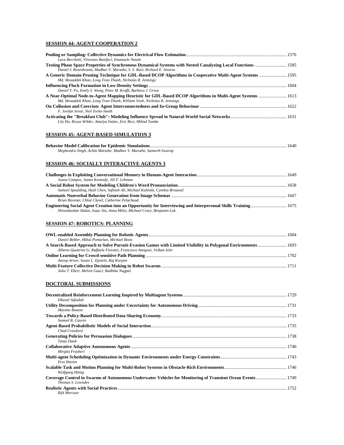#### **SESSION 44: AGENT COOPERATION 2**

| Luca Becchetti, Vincenzo Bonifaci, Emanuele Natale                                                                                                                                 |  |
|------------------------------------------------------------------------------------------------------------------------------------------------------------------------------------|--|
|                                                                                                                                                                                    |  |
| Daniel J. Rosenkrantz, Madhav V. Marathe, S. S. Ravi, Richard E. Stearns                                                                                                           |  |
| Md. Mosaddek Khan, Long Tran-Thanh, Nicholas R. Jennings                                                                                                                           |  |
|                                                                                                                                                                                    |  |
| Daniel Y. Fu, Emily S. Wang, Peter M. Krafft, Barbara J. Grosz                                                                                                                     |  |
| A Near-Optimal Node-to-Agent Mapping Heuristic for GDL-Based DCOP Algorithms in Multi-Agent Systems 1613<br>Md. Mosaddek Khan, Long Tran-Thanh, William Yeoh, Nicholas R. Jennings |  |
| On Collusion and Coercion: Agent Interconnectedness and In-Group Behaviour manufactured and the 1622                                                                               |  |
| F. Jordan Srour. Neil Yorke-Smith                                                                                                                                                  |  |
| Lily Hu, Bryan Wilder, Amulya Yadav, Eric Rice, Milind Tambe                                                                                                                       |  |

#### **SESSION 45: AGENT-BASED SIMULATION 3**

|                                                                   | 1640 |
|-------------------------------------------------------------------|------|
| Meghendra Singh, Achla Marathe, Madhav V. Marathe, Samarth Swarup |      |

#### **SESSION 46: SOCIALLY INTERACTIVE AGENTS 3**

| Joana Campos, James Kennedy, Jill F. Lehman                                                                                                                                             |  |
|-----------------------------------------------------------------------------------------------------------------------------------------------------------------------------------------|--|
|                                                                                                                                                                                         |  |
| Samuel Spaulding, Huili Chen, Safinah Ali, Michael Kulinski, Cynthia Breazeal                                                                                                           |  |
|                                                                                                                                                                                         |  |
| Brian Ravenet, Chloé Clavel, Catherine Pelachaud                                                                                                                                        |  |
| Engineering Social Agent Creation into an Opportunity for Interviewing and Interpersonal Skills Training 1675<br>Shivashankar Halan, Isaac Sia, Anna Miles, Michael Crary, Benjamin Lok |  |

#### **SESSION 47: ROBOTICS: PLANNING**

| Daniel Beßler, Mihai Pomarlan, Michael Beetz                                                                   |  |
|----------------------------------------------------------------------------------------------------------------|--|
| A Search-Based Approach to Solve Pursuit-Evasion Games with Limited Visibility in Polygonal Environments  1693 |  |
| Alberto Quattrini Li, Raffaele Fioratto, Francesco Amigoni, Volkan Isler                                       |  |
|                                                                                                                |  |
| Anoop Aroor, Susan L. Epstein, Raj Korpan                                                                      |  |
|                                                                                                                |  |
| Julia T. Ebert, Melvin Gauci, Radhika Nagpal                                                                   |  |

#### **DOCTORAL SUBMISSIONS**

| Dhaval Adjodah    |  |
|-------------------|--|
| Maxime Bouton     |  |
|                   |  |
| Samuel R. Cauvin  |  |
| Chad Crawford     |  |
| Tanja Daub        |  |
| Mirgita Frasheri  |  |
| Erez Hartuv       |  |
| Wolfgang Hönig    |  |
| Thomas S. Lowndes |  |
|                   |  |
| Riik Mercuur      |  |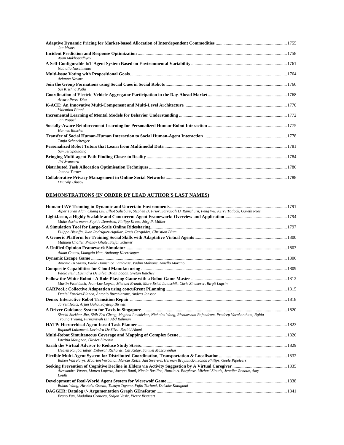| Jan Mrkos           |  |
|---------------------|--|
|                     |  |
| Ayan Mukhopadhyay   |  |
| Nathalia Nascimento |  |
|                     |  |
| Arianna Novaro      |  |
| Sai Krishna Pathi   |  |
| Alvaro Perez-Diaz   |  |
| Valentina Pitoni    |  |
| Jan Pöppel          |  |
| Hannes Ritschel     |  |
| Tanja Schneeberger  |  |
| Samuel Spaulding    |  |
| Jirí Švancara       |  |
| Joanna Turner       |  |
| Onuralp Ulusov      |  |

#### **DEMONSTRATIONS (IN ORDER BY LEAD AUTHOR'S LAST NAMES)**

| Alper Turan Alan, Chang Liu, Elliot Salisbury, Stephen D. Prior, Sarvapali D. Ramchurn, Feng Wu, Kerry Tatlock, Gareth Rees                                        |  |
|--------------------------------------------------------------------------------------------------------------------------------------------------------------------|--|
|                                                                                                                                                                    |  |
| Malte Aschermann, Sophie Dennisen, Philipp Kraus, Jörg P. Müller                                                                                                   |  |
|                                                                                                                                                                    |  |
| Filippo Bistaffa, Juan Rodríguez-Aguilar, Jesús Cerquides, Christian Blum                                                                                          |  |
| Mathieu Chollet, Pranav Ghate, Stefan Scherer                                                                                                                      |  |
|                                                                                                                                                                    |  |
| Adam Coates, Liangxiu Han, Anthonty Kleerekoper                                                                                                                    |  |
|                                                                                                                                                                    |  |
| Antonio Di Stasio, Paolo Domenico Lambiase, Vadim Malvone, Aniello Murano                                                                                          |  |
|                                                                                                                                                                    |  |
| Paolo Felli, Lavindra De Silva, Brian Logan, Svetan Ratchev                                                                                                        |  |
|                                                                                                                                                                    |  |
| Martin Fischbach, Jean-Luc Lugrin, Michael Brandt, Marc Erich Latoschik, Chris Zimmerer, Birgit Lugrin                                                             |  |
|                                                                                                                                                                    |  |
| Daniel Furelos-Blanco, Antonio Bucchiarone, Anders Jonsson                                                                                                         |  |
|                                                                                                                                                                    |  |
| Jarrett Holtz, Arjun Guha, Joydeep Biswas                                                                                                                          |  |
|                                                                                                                                                                    |  |
| Shashi Shekhar Jha, Shih-Fen Cheng, Meghna Lowalekar, Nicholas Wong, Rishikeshan Rajendram, Pradeep Varakantham, Nghia<br>Troung Troung, Firmansyah Bin Abd Rahman |  |
|                                                                                                                                                                    |  |
| Raphaël Lallement, Lavindra De Silva, Rachid Alami                                                                                                                 |  |
|                                                                                                                                                                    |  |
| Laetitia Matignon, Olivier Simonin                                                                                                                                 |  |
|                                                                                                                                                                    |  |
| Hedieh Ranjbartabar, Deborah Richards, Cat Kutay, Samuel Mascarenhas                                                                                               |  |
|                                                                                                                                                                    |  |
| Ruben Van Parys, Maarten Verbandt, Marcus Kotzé, Jan Swevers, Herman Bruyninckx, Johan Philips, Goele Pipeleers                                                    |  |
| Alessandro Vuono, Matteo Luperto, Jacopo Banfi, Nicola Basilico, Nunzio A. Borghese, Michael Sioutis, Jennifer Renoux, Amy<br>Loufti                               |  |
|                                                                                                                                                                    |  |
| Bohao Wang, Hirotaka Osawa, Takuya Toyono, Fujio Toriumi, Daisuke Katagami                                                                                         |  |
|                                                                                                                                                                    |  |
| Bruno Yun, Madalina Croitoru, Srdjan Vesic, Pierre Bisquert                                                                                                        |  |
|                                                                                                                                                                    |  |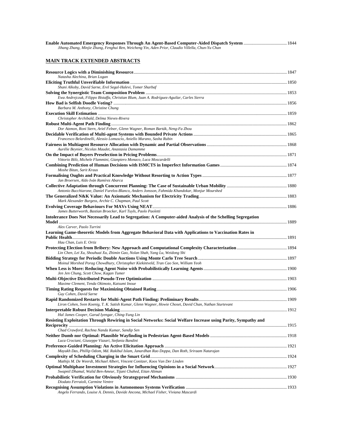| Jihang Zhang, Minjie Zhang, Fenghui Ren, Weicheng Yin, Aden Prior, Claudio Villella, Chun-Yu Chan                                     |  |
|---------------------------------------------------------------------------------------------------------------------------------------|--|
| <u>MAIN TRACK EXTENDED ABSTRACTS</u>                                                                                                  |  |
|                                                                                                                                       |  |
| Natasha Alechina, Brian Logan                                                                                                         |  |
| Shani Alkoby, David Sarne, Erel Segal-Halevi, Tomer Sharbaf                                                                           |  |
|                                                                                                                                       |  |
| Ewa Andrejczuk, Filippo Bistaffa, Christian Blum, Juan A. Rodríguez-Aguilar, Carles Sierra                                            |  |
| Barbara M. Anthony, Christine Chung                                                                                                   |  |
| Christopher Archibald, Delma Nieves-Rivera                                                                                            |  |
|                                                                                                                                       |  |
| Dor Atzmon, Roni Stern, Ariel Felner, Glenn Wagner, Roman Barták, Neng-Fa Zhou                                                        |  |
| Francesco Belardinelli, Alessio Lomuscio, Aniello Murano, Sasha Rubin                                                                 |  |
|                                                                                                                                       |  |
| Aurélie Beynier, Nicolas Maudet, Anastasia Damamme                                                                                    |  |
| Vittorio Bilò, Michele Flammini, Gianpiero Monaco, Luca Moscardelli                                                                   |  |
| Moshe Bitan, Sarit Kraus                                                                                                              |  |
| Jan Broersen, Aldo Iván Ramírez Abarca                                                                                                |  |
|                                                                                                                                       |  |
| Antonio Bucchiarone, Daniel Furelos-Blanco, Anders Jonsson, Fahmida Khandokar, Monjur Mourshed                                        |  |
| Mark Alexander Burgess, Archie C. Chapman, Paul Scott                                                                                 |  |
| James Butterworth, Bastian Broecker, Karl Tuyls, Paolo Paoletti                                                                       |  |
| Intolerance Does Not Necessarily Lead to Segregation: A Computer-aided Analysis of the Schelling Segregation                          |  |
| Alex Carver, Paolo Turrini<br>Learning Game-theoretic Models from Aggregate Behavioral Data with Applications to Vaccination Rates in |  |
| Hau Chan, Luis E. Ortiz                                                                                                               |  |
|                                                                                                                                       |  |
| Lin Chen, Lei Xu, Shouhuai Xu, Zhimin Gao, Nolan Shah, Yang Lu, Weidong Shi                                                           |  |
| Moinul Morshed Porag Chowdhury, Christopher Kiekintveld, Tran Cao Son, William Yeoh                                                   |  |
|                                                                                                                                       |  |
| Jen Jen Chung, Scott Chow, Kagan Tumer                                                                                                |  |
| Maxime Clement, Tenda Okimoto, Katsumi Inoue                                                                                          |  |
|                                                                                                                                       |  |
| Guy Cohen, David Sarne                                                                                                                |  |
| Liron Cohen, Sven Koenig, T. K. Satish Kumar, Glenn Wagner, Howie Choset, David Chan, Nathan Sturtevant                               |  |
| Hal James Cooper, Garud Iyengar, Ching-Yung Lin                                                                                       |  |
| Resisting Exploitation Through Rewiring in Social Networks: Social Welfare Increase using Parity, Sympathy and                        |  |
| Chad Crawford, Rachna Nanda Kumar, Sandip Sen                                                                                         |  |
| Luca Crociani, Giuseppe Vizzari, Stefania Bandini                                                                                     |  |
| Mayukh Das, Phillip Odom, Md. Rakibul Islam, Janardhan Rao Doppa, Dan Roth, Sriraam Natarajan                                         |  |
| Mathijs M. De Weerdt, Michael Albert, Vincent Conitzer, Koos Van Der Linden                                                           |  |
|                                                                                                                                       |  |
| Swapnil Dhamal, Walid Ben-Ameur, Tijani Chahed, Eitan Altman                                                                          |  |
| Diodato Ferraioli, Carmine Ventre                                                                                                     |  |
| Angelo Ferrando, Louise A. Dennis, Davide Ancona, Michael Fisher, Viviana Mascardi                                                    |  |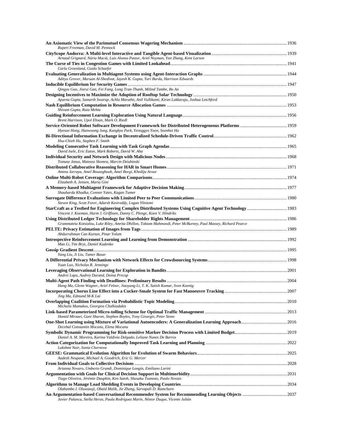| Rupert Freeman, David M. Pennock                                                                                                                                        |  |
|-------------------------------------------------------------------------------------------------------------------------------------------------------------------------|--|
| Arnaud Grignard, Núria Macià, Luis Alonso Pastor, Ariel Noyman, Yan Zhang, Kent Larson                                                                                  |  |
| Carla Groenland, Guido Schaefer                                                                                                                                         |  |
| Aditya Grover, Maruan Al-Shedivat, Jayesh K. Gupta, Yuri Burda, Harrison Edwards                                                                                        |  |
|                                                                                                                                                                         |  |
| Qingyu Guo, Jiarui Gan, Fei Fang, Long Tran-Thanh, Milind Tambe, Bo An                                                                                                  |  |
| Aparna Gupta, Samarth Swarup, Achla Marathe, Anil Vullikanti, Kiran Lakkaraju, Joshua Letchford                                                                         |  |
| Shivam Gupta, Ruta Mehta                                                                                                                                                |  |
| Brent Harrison, Upol Ehsan, Mark O. Riedl                                                                                                                               |  |
|                                                                                                                                                                         |  |
| Hyesun Hong, Hanwoong Jung, Kangkyu Park, Yeonggyo Yoon, Soonhoi Ha                                                                                                     |  |
| Hsu-Chieh Hu, Stephen F. Smith                                                                                                                                          |  |
| David Isele, Eric Eaton, Mark Roberts, David W. Aha                                                                                                                     |  |
| Tomasz Janus, Mateusz Skomra, Marcin Dziubinski                                                                                                                         |  |
|                                                                                                                                                                         |  |
| Amina Jarraya, Amel Bouzeghoub, Amel Borgi, Khedija Arour                                                                                                               |  |
| Elizabeth A. Jensen, Maria Gini                                                                                                                                         |  |
|                                                                                                                                                                         |  |
| Shauharda Khadka, Connor Yates, Kagan Tumer                                                                                                                             |  |
| Steven King, Scott Forer, Adarsh Kesireddy, Logan Yliniemi<br>StarCraft as a Testbed for Engineering Complex Distributed Systems Using Cognitive Agent Technology  1983 |  |
| Vincent J. Koeman, Harm J. Griffioen, Danny C. Plenge, Koen V. Hindriks                                                                                                 |  |
| Grammateia Kotsialou, Luke Riley, Amrita Dhillon, Toktam Mahmoodi, Peter McBurney, Paul Massey, Richard Pearce                                                          |  |
| Abdurrahman Can Kurtan, Pinar Yolum                                                                                                                                     |  |
| Mao Li, Tim Brys, Daniel Kudenko                                                                                                                                        |  |
|                                                                                                                                                                         |  |
| Yang Liu, Ji Liu, Tamer Basar                                                                                                                                           |  |
| Yuan Luo, Nicholas R. Jennings                                                                                                                                          |  |
| Andrei Lupu, Audrey Durand, Doina Precup                                                                                                                                |  |
|                                                                                                                                                                         |  |
| Hang Ma, Glenn Wagner, Ariel Felner, Jiaoyang Li, T. K. Satish Kumar, Sven Koenig                                                                                       |  |
| Jing Ma, Edmund M-K Lai                                                                                                                                                 |  |
| Michalis Mamakos, Georgios Chalkiadakis                                                                                                                                 |  |
| Hamid Mirzaei, Guni Sharon, Stephen Boyles, Tony Givargis, Peter Stone                                                                                                  |  |
| Decebal Constantin Mocanu, Elena Mocanu                                                                                                                                 |  |
| Daniel A. M. Moreira, Karina Valdivia Delgado, Leliane Nunes De Barros                                                                                                  |  |
| Lakshmi Nair, Sonia Chernova                                                                                                                                            |  |
| Aadesh Neupane, Michael A. Goodrich, Eric G. Mercer                                                                                                                     |  |
|                                                                                                                                                                         |  |
| Arianna Novaro, Umberto Grandi, Dominique Longin, Emiliano Lorini                                                                                                       |  |
| Tiago Oliveira, Jérémie Dauphin, Ken Satoh, Shusaku Tsumoto, Paulo Novais                                                                                               |  |
|                                                                                                                                                                         |  |
| Olabambo I. Oluwasuji, Obaid Malik, Jie Zhang, Sarvapali D. Ramchurn                                                                                                    |  |
| Javier Palanca, Stella Heras, Paula Rodríguez Marín, Néstor Duque, Vicente Julián                                                                                       |  |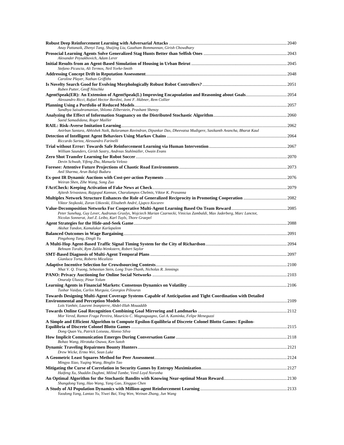| Anay Pattanaik, Zhenyi Tang, Shuijing Liu, Gautham Bommannan, Girish Chowdhary<br>Alexander Peysakhovich, Adam Lerer                                                                 |  |
|--------------------------------------------------------------------------------------------------------------------------------------------------------------------------------------|--|
| Stefano Picascia, Ali Termos, Neil Yorke-Smith                                                                                                                                       |  |
|                                                                                                                                                                                      |  |
| Caroline Player, Nathan Griffiths<br>Ruben Putter, Geoff Nitschke                                                                                                                    |  |
| Alessandro Ricci, Rafael Hector Bordini, Jomi F. Hübner, Rem Collier                                                                                                                 |  |
| Sandhya Saisubramanian, Shlomo Zilberstein, Prashant Shenoy                                                                                                                          |  |
| Saeid Samadidana, Roger Mailler                                                                                                                                                      |  |
|                                                                                                                                                                                      |  |
| Anirban Santara, Abhishek Naik, Balaraman Ravindran, Dipankar Das, Dheevatsa Mudigere, Sasikanth Avancha, Bharat Kaul<br>Riccardo Sartea, Alessandro Farinelli                       |  |
| William Saunders, Girish Sastry, Andreas Stuhlmüller, Owain Evans                                                                                                                    |  |
| Devin Schwab, Yifeng Zhu, Manuela Veloso                                                                                                                                             |  |
| Anil Sharma, Arun Balaji Buduru                                                                                                                                                      |  |
| Weiran Shen, Zihe Wang, Song Zuo                                                                                                                                                     |  |
|                                                                                                                                                                                      |  |
| Ajitesh Srivastava, Rajgopal Kannan, Charalampos Chelmis, Viktor K. Prasanna<br>Viktor Stojkoski, Zoran Utkovski, Elisabeth André, Ljupco Kocarev                                    |  |
| Peter Sunehag, Guy Lever, Audrunas Gruslys, Wojciech Marian Czarnecki, Vinicius Zambaldi, Max Jaderberg, Marc Lanctot,<br>Nicolas Sonnerat, Joel Z. Leibo, Karl Tuyls, Thore Graepel |  |
| Akshat Tandon, Kamalakar Karlapalem                                                                                                                                                  |  |
| Pingzhong Tang, Dingli Yu                                                                                                                                                            |  |
| Behnam Torabi, Rym Zalila-Wenkstern, Robert Saylor                                                                                                                                   |  |
| Gianluca Torta, Roberto Micalizio                                                                                                                                                    |  |
|                                                                                                                                                                                      |  |
| Nhat V. Q. Truong, Sebastian Stein, Long Tran-Thanh, Nicholas R. Jennings                                                                                                            |  |
| Onuralp Ulusoy, Pinar Yolum                                                                                                                                                          |  |
| Tushar Vaidya, Carlos Murguia, Georgios Piliouras<br>Towards Designing Multi-Agent Coverage Systems Capable of Anticipation and Tight Coordination with Detailed                     |  |
| Loïs Vanhée, Laurent Jeanpierre, Abdel-Illah Mouaddib                                                                                                                                |  |
| Mor Vered, Ramon Fraga Pereira, Maurício C. Magnaguagno, Gal A. Kaminka, Felipe Meneguzzi                                                                                            |  |
| A Simple and Efficient Algorithm to Compute Epsilon-Equilibria of Discrete Colonel Blotto Games: Epsilon-                                                                            |  |
| Dong Quan Vu, Patrick Loiseau, Alonso Silva                                                                                                                                          |  |
| Bohao Wang, Hirotaka Osawa, Ken Satoh                                                                                                                                                |  |
| Drew Wicke, Ermo Wei, Sean Luke                                                                                                                                                      |  |
| Mingyu Xiao, Yuqing Wang, Binglin Tao                                                                                                                                                |  |
| Haifeng Xu, Shaddin Dughmi, Milind Tambe, Venil Loyd Noronha                                                                                                                         |  |
| Shangdong Yang, Hao Wang, Yang Gao, Xingguo Chen                                                                                                                                     |  |
| Yaodong Yang, Lantao Yu, Yiwei Bai, Ying Wen, Weinan Zhang, Jun Wang                                                                                                                 |  |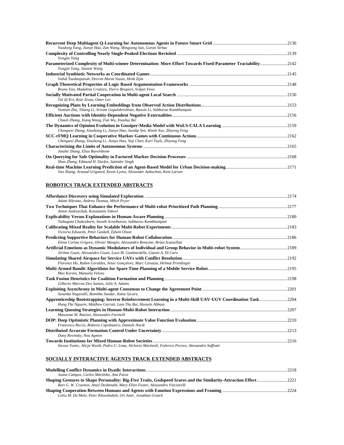| Yaodong Yang, Jianye Hao, Zan Wang, Mingyang Sun, Goran Strbac                                                                             |       |
|--------------------------------------------------------------------------------------------------------------------------------------------|-------|
|                                                                                                                                            |       |
| Yongjie Yang                                                                                                                               |       |
| Parameterized Complexity of Multi-winner Determination: More Effort Towards Fixed-Parameter Tractability2142<br>Yongjie Yang, Jianxin Wang |       |
|                                                                                                                                            |       |
| Vahid Yazdanpanah, Devrim Murat Yazan, Henk Zijm                                                                                           |       |
| Bruno Yun, Madalina Croitoru, Pierre Bisquert, Srdjan Vesic                                                                                |       |
| Tal Ze'Evi, Roie Zivan, Omer Lev                                                                                                           |       |
| Yantian Zha, Yikang Li, Sriram Gopalakrishnan, Baoxin Li, Subbarao Kambhampati                                                             |       |
| Chaoli Zhang, Xiang Wang, Fan Wu, Xiaohui Bei                                                                                              | .2156 |
| Chengwei Zhang, Xiaohong Li, Jianye Hao, Sandip Sen, Wanli Xue, Zhiyong Feng                                                               |       |
| Chengwei Zhang, Xiaohong Li, Jianye Hao, Siqi Chen, Karl Tuyls, Zhiyong Feng                                                               |       |
| Junzhe Zhang, Elias Bareinboim                                                                                                             |       |
| Shun Zhang, Edmund H. Durfee, Satinder Singh                                                                                               |       |
| Yan Zhang, Arnaud Grignard, Kevin Lyons, Alexander Aubuchon, Kent Larson                                                                   |       |

# **ROBOTICS TRACK EXTENDED ABSTRACTS**

| Adam Allevato, Andrea Thomaz, Mitch Pryor                                                                                                                                    |       |
|------------------------------------------------------------------------------------------------------------------------------------------------------------------------------|-------|
| Anton Andreychuk, Konstantin Yakovl                                                                                                                                          |       |
| Tathagata Chakraborti, Sarath Sreedharan, Subbarao Kambhampati                                                                                                               |       |
| Victoria Edwards, Peter Gaskell, Edwin Olson                                                                                                                                 | 2183  |
| Elena Corina Grigore, Olivier Mangin, Alessandro Roncone, Brian Scassellati                                                                                                  |       |
| Jérôme Guzzi, Alessandro Giusti, Luca M. Gambardella, Gianni A. Di Caro                                                                                                      |       |
| Florence Ho, Ruben Geraldes, Artur Gonçalves, Marc Cavazza, Helmut Prendinger                                                                                                |       |
| Max Korein, Manuela Veloso                                                                                                                                                   |       |
| Gilberto Marcon Dos Santos, Julie A. Adams                                                                                                                                   |       |
| Sasanka Nagavalli, Ramitha Sundar, Katia Sycara                                                                                                                              |       |
| Apprenticeship Bootstrapping: Inverse Reinforcement Learning in a Multi-Skill UAV-UGV Coordination Task2004<br>Hung The Nguyen, Matthew Garratt, Lam Thu Bui, Hussein Abbass |       |
| Masoume M. Raeissi, Alessandro Farinelli                                                                                                                                     |       |
| Francesco Riccio, Roberto Capobianco, Daniele Nardi                                                                                                                          |       |
| Dany Rovinsky, Noa Agmon                                                                                                                                                     |       |
| Stevan Tomic, Alicja Wasik, Pedro U. Lima, Alcherio Martinoli, Federico Pecora, Alessandro Saffiotti                                                                         | .2216 |

# **SOCIALLY INTERACTIVE AGENTS TRACK EXTENDED ABSTRACTS**

| Joana Campos, Carlos Martinho, Ana Paiva                                     |  |
|------------------------------------------------------------------------------|--|
|                                                                              |  |
| Bart G. W. Craenen, Amol Deshmukh, Mary Ellen Foster, Alessandro Vinciarelli |  |
|                                                                              |  |
| Celso M. De Melo, Peter Khooshabeh, Ori Amir, Jonathan Gratch                |  |